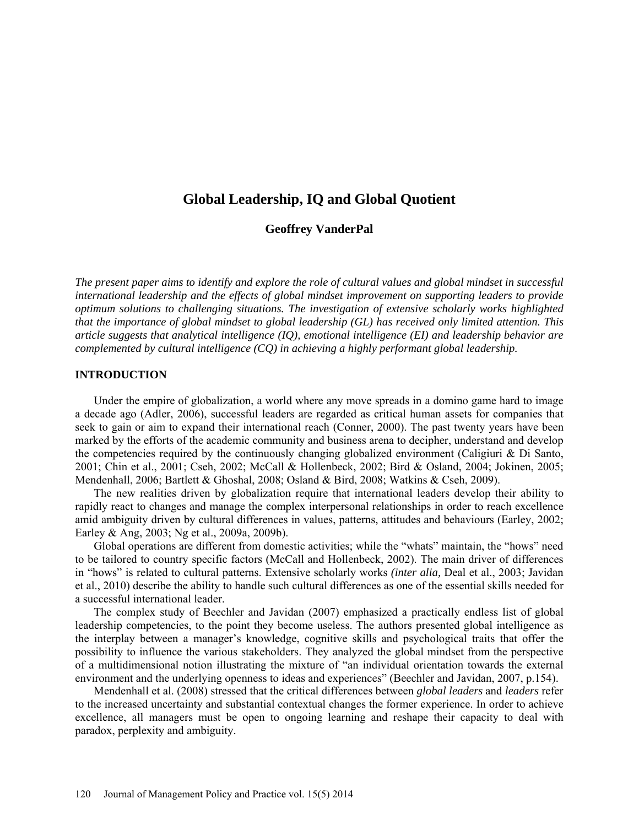# **Global Leadership, IQ and Global Quotient**

# **Geoffrey VanderPal**

*The present paper aims to identify and explore the role of cultural values and global mindset in successful international leadership and the effects of global mindset improvement on supporting leaders to provide optimum solutions to challenging situations. The investigation of extensive scholarly works highlighted that the importance of global mindset to global leadership (GL) has received only limited attention. This article suggests that analytical intelligence (IQ), emotional intelligence (EI) and leadership behavior are complemented by cultural intelligence (CQ) in achieving a highly performant global leadership.*

### **INTRODUCTION**

Under the empire of globalization, a world where any move spreads in a domino game hard to image a decade ago (Adler, 2006), successful leaders are regarded as critical human assets for companies that seek to gain or aim to expand their international reach (Conner, 2000). The past twenty years have been marked by the efforts of the academic community and business arena to decipher, understand and develop the competencies required by the continuously changing globalized environment (Caligiuri  $\&$  Di Santo, 2001; Chin et al., 2001; Cseh, 2002; McCall & Hollenbeck, 2002; Bird & Osland, 2004; Jokinen, 2005; Mendenhall, 2006; Bartlett & Ghoshal, 2008; Osland & Bird, 2008; Watkins & Cseh, 2009).

The new realities driven by globalization require that international leaders develop their ability to rapidly react to changes and manage the complex interpersonal relationships in order to reach excellence amid ambiguity driven by cultural differences in values, patterns, attitudes and behaviours (Earley, 2002; Earley & Ang, 2003; Ng et al., 2009a, 2009b).

Global operations are different from domestic activities; while the "whats" maintain, the "hows" need to be tailored to country specific factors (McCall and Hollenbeck, 2002). The main driver of differences in "hows" is related to cultural patterns. Extensive scholarly works *(inter alia,* Deal et al., 2003; Javidan et al., 2010) describe the ability to handle such cultural differences as one of the essential skills needed for a successful international leader.

The complex study of Beechler and Javidan (2007) emphasized a practically endless list of global leadership competencies, to the point they become useless. The authors presented global intelligence as the interplay between a manager's knowledge, cognitive skills and psychological traits that offer the possibility to influence the various stakeholders. They analyzed the global mindset from the perspective of a multidimensional notion illustrating the mixture of "an individual orientation towards the external environment and the underlying openness to ideas and experiences" (Beechler and Javidan, 2007, p.154).

Mendenhall et al. (2008) stressed that the critical differences between *global leaders* and *leaders* refer to the increased uncertainty and substantial contextual changes the former experience. In order to achieve excellence, all managers must be open to ongoing learning and reshape their capacity to deal with paradox, perplexity and ambiguity.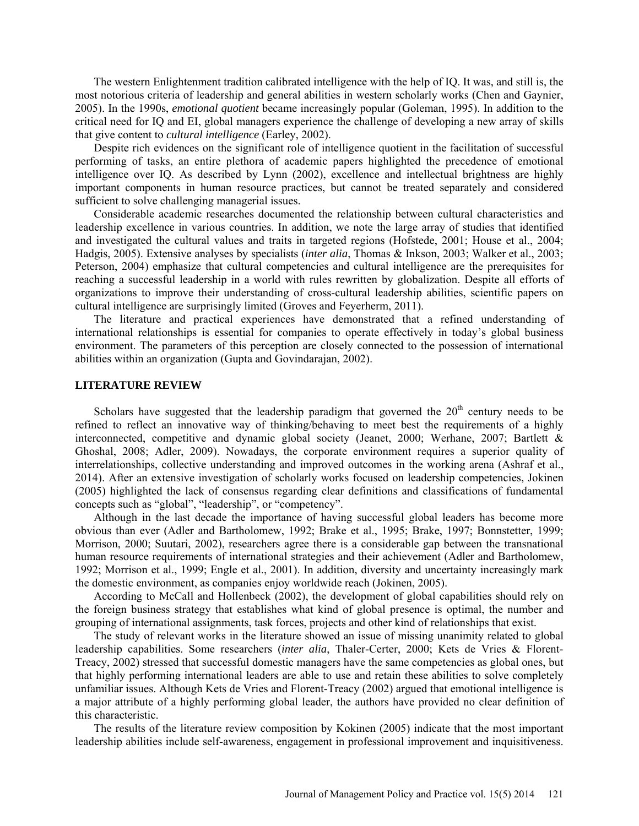The western Enlightenment tradition calibrated intelligence with the help of IQ. It was, and still is, the most notorious criteria of leadership and general abilities in western scholarly works (Chen and Gaynier, 2005). In the 1990s, *emotional quotient* became increasingly popular (Goleman, 1995). In addition to the critical need for IQ and EI, global managers experience the challenge of developing a new array of skills that give content to *cultural intelligence* (Earley, 2002).

Despite rich evidences on the significant role of intelligence quotient in the facilitation of successful performing of tasks, an entire plethora of academic papers highlighted the precedence of emotional intelligence over IQ. As described by Lynn (2002), excellence and intellectual brightness are highly important components in human resource practices, but cannot be treated separately and considered sufficient to solve challenging managerial issues.

Considerable academic researches documented the relationship between cultural characteristics and leadership excellence in various countries. In addition, we note the large array of studies that identified and investigated the cultural values and traits in targeted regions (Hofstede, 2001; House et al., 2004; Hadgis, 2005). Extensive analyses by specialists (*inter alia*, Thomas & Inkson, 2003; Walker et al., 2003; Peterson, 2004) emphasize that cultural competencies and cultural intelligence are the prerequisites for reaching a successful leadership in a world with rules rewritten by globalization. Despite all efforts of organizations to improve their understanding of cross-cultural leadership abilities, scientific papers on cultural intelligence are surprisingly limited (Groves and Feyerherm, 2011).

The literature and practical experiences have demonstrated that a refined understanding of international relationships is essential for companies to operate effectively in today's global business environment. The parameters of this perception are closely connected to the possession of international abilities within an organization (Gupta and Govindarajan, 2002).

#### **LITERATURE REVIEW**

Scholars have suggested that the leadership paradigm that governed the  $20<sup>th</sup>$  century needs to be refined to reflect an innovative way of thinking/behaving to meet best the requirements of a highly interconnected, competitive and dynamic global society (Jeanet, 2000; Werhane, 2007; Bartlett & Ghoshal, 2008; Adler, 2009). Nowadays, the corporate environment requires a superior quality of interrelationships, collective understanding and improved outcomes in the working arena (Ashraf et al., 2014). After an extensive investigation of scholarly works focused on leadership competencies, Jokinen (2005) highlighted the lack of consensus regarding clear definitions and classifications of fundamental concepts such as "global", "leadership", or "competency".

Although in the last decade the importance of having successful global leaders has become more obvious than ever (Adler and Bartholomew, 1992; Brake et al., 1995; Brake, 1997; Bonnstetter, 1999; Morrison, 2000; Suutari, 2002), researchers agree there is a considerable gap between the transnational human resource requirements of international strategies and their achievement (Adler and Bartholomew, 1992; Morrison et al., 1999; Engle et al., 2001). In addition, diversity and uncertainty increasingly mark the domestic environment, as companies enjoy worldwide reach (Jokinen, 2005).

According to McCall and Hollenbeck (2002), the development of global capabilities should rely on the foreign business strategy that establishes what kind of global presence is optimal, the number and grouping of international assignments, task forces, projects and other kind of relationships that exist.

The study of relevant works in the literature showed an issue of missing unanimity related to global leadership capabilities. Some researchers (*inter alia*, Thaler-Certer, 2000; Kets de Vries & Florent-Treacy, 2002) stressed that successful domestic managers have the same competencies as global ones, but that highly performing international leaders are able to use and retain these abilities to solve completely unfamiliar issues. Although Kets de Vries and Florent-Treacy (2002) argued that emotional intelligence is a major attribute of a highly performing global leader, the authors have provided no clear definition of this characteristic.

The results of the literature review composition by Kokinen (2005) indicate that the most important leadership abilities include self-awareness, engagement in professional improvement and inquisitiveness.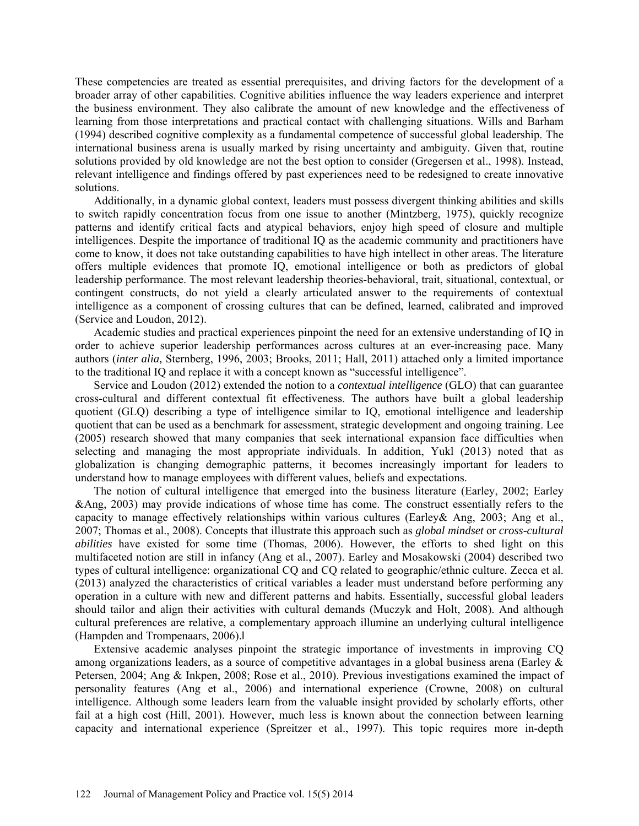These competencies are treated as essential prerequisites, and driving factors for the development of a broader array of other capabilities. Cognitive abilities influence the way leaders experience and interpret the business environment. They also calibrate the amount of new knowledge and the effectiveness of learning from those interpretations and practical contact with challenging situations. Wills and Barham (1994) described cognitive complexity as a fundamental competence of successful global leadership. The international business arena is usually marked by rising uncertainty and ambiguity. Given that, routine solutions provided by old knowledge are not the best option to consider (Gregersen et al., 1998). Instead, relevant intelligence and findings offered by past experiences need to be redesigned to create innovative solutions.

Additionally, in a dynamic global context, leaders must possess divergent thinking abilities and skills to switch rapidly concentration focus from one issue to another (Mintzberg, 1975), quickly recognize patterns and identify critical facts and atypical behaviors, enjoy high speed of closure and multiple intelligences. Despite the importance of traditional IQ as the academic community and practitioners have come to know, it does not take outstanding capabilities to have high intellect in other areas. The literature offers multiple evidences that promote IQ, emotional intelligence or both as predictors of global leadership performance. The most relevant leadership theories-behavioral, trait, situational, contextual, or contingent constructs, do not yield a clearly articulated answer to the requirements of contextual intelligence as a component of crossing cultures that can be defined, learned, calibrated and improved (Service and Loudon, 2012).

Academic studies and practical experiences pinpoint the need for an extensive understanding of IQ in order to achieve superior leadership performances across cultures at an ever-increasing pace. Many authors (*inter alia,* Sternberg, 1996, 2003; Brooks, 2011; Hall, 2011) attached only a limited importance to the traditional IQ and replace it with a concept known as "successful intelligence".

Service and Loudon (2012) extended the notion to a *contextual intelligence* (GLO) that can guarantee cross-cultural and different contextual fit effectiveness. The authors have built a global leadership quotient (GLQ) describing a type of intelligence similar to IQ, emotional intelligence and leadership quotient that can be used as a benchmark for assessment, strategic development and ongoing training. Lee (2005) research showed that many companies that seek international expansion face difficulties when selecting and managing the most appropriate individuals. In addition, Yukl (2013) noted that as globalization is changing demographic patterns, it becomes increasingly important for leaders to understand how to manage employees with different values, beliefs and expectations.

The notion of cultural intelligence that emerged into the business literature (Earley, 2002; Earley &Ang, 2003) may provide indications of whose time has come. The construct essentially refers to the capacity to manage effectively relationships within various cultures (Earley & Ang, 2003; Ang et al., 2007; Thomas et al., 2008). Concepts that illustrate this approach such as *global mindset* or *cross-cultural abilities* have existed for some time (Thomas, 2006). However, the efforts to shed light on this multifaceted notion are still in infancy (Ang et al., 2007). Earley and Mosakowski (2004) described two types of cultural intelligence: organizational CQ and CQ related to geographic/ethnic culture. Zecca et al. (2013) analyzed the characteristics of critical variables a leader must understand before performing any operation in a culture with new and different patterns and habits. Essentially, successful global leaders should tailor and align their activities with cultural demands (Muczyk and Holt, 2008). And although cultural preferences are relative, a complementary approach illumine an underlying cultural intelligence (Hampden and Trompenaars, 2006).‖

Extensive academic analyses pinpoint the strategic importance of investments in improving CQ among organizations leaders, as a source of competitive advantages in a global business arena (Earley & Petersen, 2004; Ang & Inkpen, 2008; Rose et al., 2010). Previous investigations examined the impact of personality features (Ang et al., 2006) and international experience (Crowne, 2008) on cultural intelligence. Although some leaders learn from the valuable insight provided by scholarly efforts, other fail at a high cost (Hill, 2001). However, much less is known about the connection between learning capacity and international experience (Spreitzer et al., 1997). This topic requires more in-depth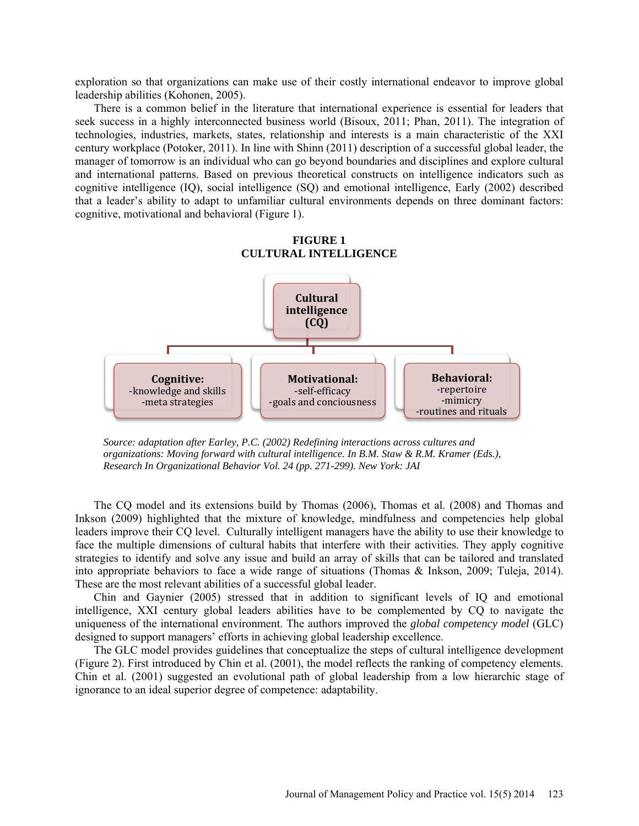exploration so that organizations can make use of their costly international endeavor to improve global leadership abilities (Kohonen, 2005).

There is a common belief in the literature that international experience is essential for leaders that seek success in a highly interconnected business world (Bisoux, 2011; Phan, 2011). The integration of technologies, industries, markets, states, relationship and interests is a main characteristic of the XXI century workplace (Potoker, 2011). In line with Shinn (2011) description of a successful global leader, the manager of tomorrow is an individual who can go beyond boundaries and disciplines and explore cultural and international patterns. Based on previous theoretical constructs on intelligence indicators such as cognitive intelligence (IQ), social intelligence (SQ) and emotional intelligence, Early (2002) described that a leader's ability to adapt to unfamiliar cultural environments depends on three dominant factors: cognitive, motivational and behavioral (Figure 1).





*Source: adaptation after Earley, P.C. (2002) Redefining interactions across cultures and organizations: Moving forward with cultural intelligence. In B.M. Staw & R.M. Kramer (Eds.), Research In Organizational Behavior Vol. 24 (pp. 271-299). New York: JAI*

The CQ model and its extensions build by Thomas (2006), Thomas et al. (2008) and Thomas and Inkson (2009) highlighted that the mixture of knowledge, mindfulness and competencies help global leaders improve their CQ level. Culturally intelligent managers have the ability to use their knowledge to face the multiple dimensions of cultural habits that interfere with their activities. They apply cognitive strategies to identify and solve any issue and build an array of skills that can be tailored and translated into appropriate behaviors to face a wide range of situations (Thomas & Inkson, 2009; Tuleja, 2014). These are the most relevant abilities of a successful global leader.

Chin and Gaynier (2005) stressed that in addition to significant levels of IQ and emotional intelligence, XXI century global leaders abilities have to be complemented by CQ to navigate the uniqueness of the international environment. The authors improved the *global competency model* (GLC) designed to support managers' efforts in achieving global leadership excellence.

The GLC model provides guidelines that conceptualize the steps of cultural intelligence development (Figure 2). First introduced by Chin et al. (2001), the model reflects the ranking of competency elements. Chin et al. (2001) suggested an evolutional path of global leadership from a low hierarchic stage of ignorance to an ideal superior degree of competence: adaptability.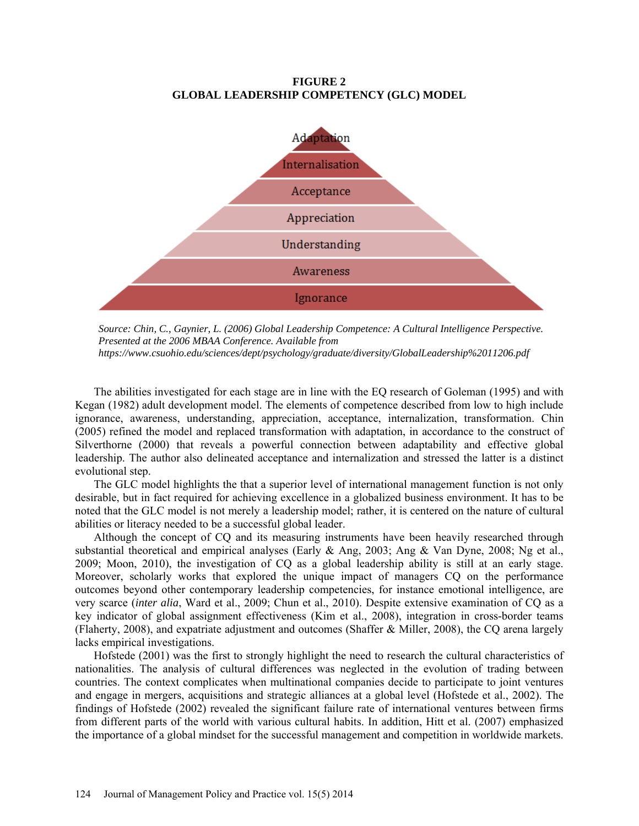## **FIGURE 2 GLOBAL LEADERSHIP COMPETENCY (GLC) MODEL**



*Source: Chin, C., Gaynier, L. (2006) Global Leadership Competence: A Cultural Intelligence Perspective. Presented at the 2006 MBAA Conference. Available from https://www.csuohio.edu/sciences/dept/psychology/graduate/diversity/GlobalLeadership%2011206.pdf*

The abilities investigated for each stage are in line with the EQ research of Goleman (1995) and with Kegan (1982) adult development model. The elements of competence described from low to high include ignorance, awareness, understanding, appreciation, acceptance, internalization, transformation. Chin (2005) refined the model and replaced transformation with adaptation, in accordance to the construct of Silverthorne (2000) that reveals a powerful connection between adaptability and effective global leadership. The author also delineated acceptance and internalization and stressed the latter is a distinct evolutional step.

The GLC model highlights the that a superior level of international management function is not only desirable, but in fact required for achieving excellence in a globalized business environment. It has to be noted that the GLC model is not merely a leadership model; rather, it is centered on the nature of cultural abilities or literacy needed to be a successful global leader.

Although the concept of CQ and its measuring instruments have been heavily researched through substantial theoretical and empirical analyses (Early & Ang, 2003; Ang & Van Dyne, 2008; Ng et al., 2009; Moon, 2010), the investigation of CQ as a global leadership ability is still at an early stage. Moreover, scholarly works that explored the unique impact of managers CQ on the performance outcomes beyond other contemporary leadership competencies, for instance emotional intelligence, are very scarce (*inter alia*, Ward et al., 2009; Chun et al., 2010). Despite extensive examination of CQ as a key indicator of global assignment effectiveness (Kim et al., 2008), integration in cross-border teams (Flaherty, 2008), and expatriate adjustment and outcomes (Shaffer & Miller, 2008), the CQ arena largely lacks empirical investigations.

Hofstede (2001) was the first to strongly highlight the need to research the cultural characteristics of nationalities. The analysis of cultural differences was neglected in the evolution of trading between countries. The context complicates when multinational companies decide to participate to joint ventures and engage in mergers, acquisitions and strategic alliances at a global level (Hofstede et al., 2002). The findings of Hofstede (2002) revealed the significant failure rate of international ventures between firms from different parts of the world with various cultural habits. In addition, Hitt et al. (2007) emphasized the importance of a global mindset for the successful management and competition in worldwide markets.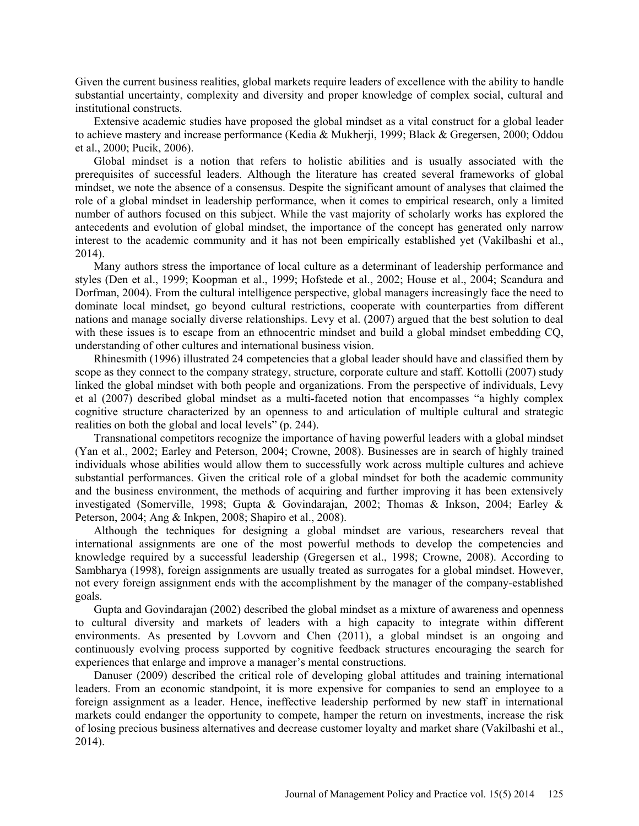Given the current business realities, global markets require leaders of excellence with the ability to handle substantial uncertainty, complexity and diversity and proper knowledge of complex social, cultural and institutional constructs.

Extensive academic studies have proposed the global mindset as a vital construct for a global leader to achieve mastery and increase performance (Kedia & Mukherji, 1999; Black & Gregersen, 2000; Oddou et al., 2000; Pucik, 2006).

Global mindset is a notion that refers to holistic abilities and is usually associated with the prerequisites of successful leaders. Although the literature has created several frameworks of global mindset, we note the absence of a consensus. Despite the significant amount of analyses that claimed the role of a global mindset in leadership performance, when it comes to empirical research, only a limited number of authors focused on this subject. While the vast majority of scholarly works has explored the antecedents and evolution of global mindset, the importance of the concept has generated only narrow interest to the academic community and it has not been empirically established yet (Vakilbashi et al., 2014).

Many authors stress the importance of local culture as a determinant of leadership performance and styles (Den et al., 1999; Koopman et al., 1999; Hofstede et al., 2002; House et al., 2004; Scandura and Dorfman, 2004). From the cultural intelligence perspective, global managers increasingly face the need to dominate local mindset, go beyond cultural restrictions, cooperate with counterparties from different nations and manage socially diverse relationships. Levy et al. (2007) argued that the best solution to deal with these issues is to escape from an ethnocentric mindset and build a global mindset embedding CQ, understanding of other cultures and international business vision.

Rhinesmith (1996) illustrated 24 competencies that a global leader should have and classified them by scope as they connect to the company strategy, structure, corporate culture and staff. Kottolli (2007) study linked the global mindset with both people and organizations. From the perspective of individuals, Levy et al (2007) described global mindset as a multi-faceted notion that encompasses "a highly complex cognitive structure characterized by an openness to and articulation of multiple cultural and strategic realities on both the global and local levels" (p. 244).

Transnational competitors recognize the importance of having powerful leaders with a global mindset (Yan et al., 2002; Earley and Peterson, 2004; Crowne, 2008). Businesses are in search of highly trained individuals whose abilities would allow them to successfully work across multiple cultures and achieve substantial performances. Given the critical role of a global mindset for both the academic community and the business environment, the methods of acquiring and further improving it has been extensively investigated (Somerville, 1998; Gupta & Govindarajan, 2002; Thomas & Inkson, 2004; Earley & Peterson, 2004; Ang & Inkpen, 2008; Shapiro et al., 2008).

Although the techniques for designing a global mindset are various, researchers reveal that international assignments are one of the most powerful methods to develop the competencies and knowledge required by a successful leadership (Gregersen et al., 1998; Crowne, 2008). According to Sambharya (1998), foreign assignments are usually treated as surrogates for a global mindset. However, not every foreign assignment ends with the accomplishment by the manager of the company-established goals.

Gupta and Govindarajan (2002) described the global mindset as a mixture of awareness and openness to cultural diversity and markets of leaders with a high capacity to integrate within different environments. As presented by Lovvorn and Chen (2011), a global mindset is an ongoing and continuously evolving process supported by cognitive feedback structures encouraging the search for experiences that enlarge and improve a manager's mental constructions.

Danuser (2009) described the critical role of developing global attitudes and training international leaders. From an economic standpoint, it is more expensive for companies to send an employee to a foreign assignment as a leader. Hence, ineffective leadership performed by new staff in international markets could endanger the opportunity to compete, hamper the return on investments, increase the risk of losing precious business alternatives and decrease customer loyalty and market share (Vakilbashi et al., 2014).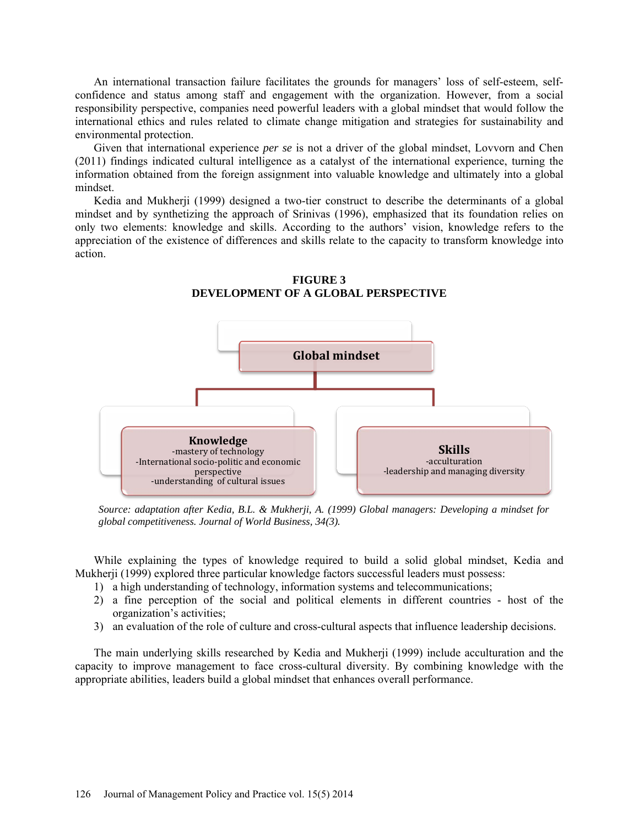An international transaction failure facilitates the grounds for managers' loss of self-esteem, selfconfidence and status among staff and engagement with the organization. However, from a social responsibility perspective, companies need powerful leaders with a global mindset that would follow the international ethics and rules related to climate change mitigation and strategies for sustainability and environmental protection.

Given that international experience *per se* is not a driver of the global mindset, Lovvorn and Chen (2011) findings indicated cultural intelligence as a catalyst of the international experience, turning the information obtained from the foreign assignment into valuable knowledge and ultimately into a global mindset.

Kedia and Mukherji (1999) designed a two-tier construct to describe the determinants of a global mindset and by synthetizing the approach of Srinivas (1996), emphasized that its foundation relies on only two elements: knowledge and skills. According to the authors' vision, knowledge refers to the appreciation of the existence of differences and skills relate to the capacity to transform knowledge into action.



**FIGURE 3 DEVELOPMENT OF A GLOBAL PERSPECTIVE**

*Source: adaptation after Kedia, B.L. & Mukherji, A. (1999) Global managers: Developing a mindset for global competitiveness. Journal of World Business, 34(3).*

While explaining the types of knowledge required to build a solid global mindset, Kedia and Mukherji (1999) explored three particular knowledge factors successful leaders must possess:

- 1) a high understanding of technology, information systems and telecommunications;
- 2) a fine perception of the social and political elements in different countries host of the organization's activities;
- 3) an evaluation of the role of culture and cross-cultural aspects that influence leadership decisions.

The main underlying skills researched by Kedia and Mukherji (1999) include acculturation and the capacity to improve management to face cross-cultural diversity. By combining knowledge with the appropriate abilities, leaders build a global mindset that enhances overall performance.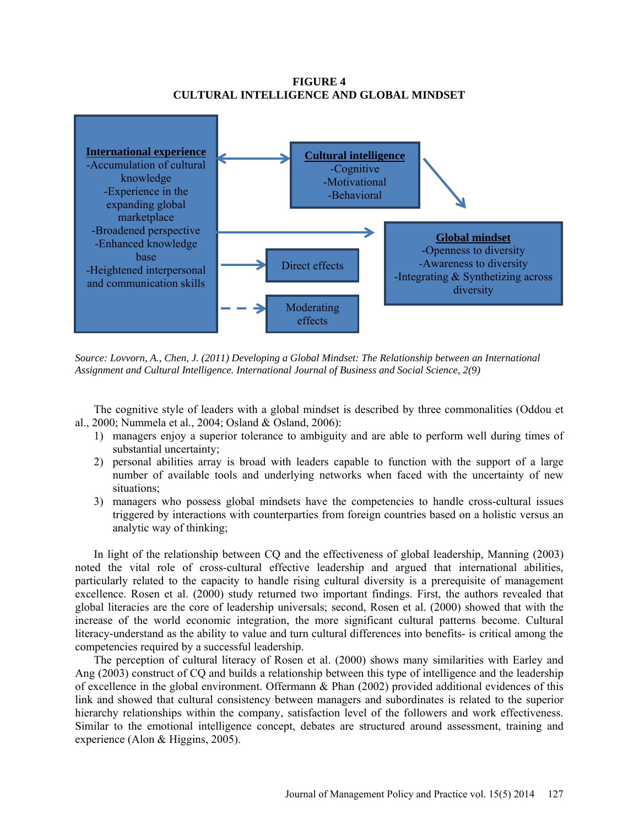# **FIGURE 4 CULTURAL INTELLIGENCE AND GLOBAL MINDSET**



*Source: Lovvorn, A., Chen, J. (2011) Developing a Global Mindset: The Relationship between an International Assignment and Cultural Intelligence. International Journal of Business and Social Science, 2(9)*

The cognitive style of leaders with a global mindset is described by three commonalities (Oddou et al., 2000; Nummela et al., 2004; Osland & Osland, 2006):

- 1) managers enjoy a superior tolerance to ambiguity and are able to perform well during times of substantial uncertainty;
- 2) personal abilities array is broad with leaders capable to function with the support of a large number of available tools and underlying networks when faced with the uncertainty of new situations;
- 3) managers who possess global mindsets have the competencies to handle cross-cultural issues triggered by interactions with counterparties from foreign countries based on a holistic versus an analytic way of thinking;

In light of the relationship between CQ and the effectiveness of global leadership, Manning (2003) noted the vital role of cross-cultural effective leadership and argued that international abilities, particularly related to the capacity to handle rising cultural diversity is a prerequisite of management excellence. Rosen et al. (2000) study returned two important findings. First, the authors revealed that global literacies are the core of leadership universals; second, Rosen et al. (2000) showed that with the increase of the world economic integration, the more significant cultural patterns become. Cultural literacy-understand as the ability to value and turn cultural differences into benefits- is critical among the competencies required by a successful leadership.

The perception of cultural literacy of Rosen et al. (2000) shows many similarities with Earley and Ang (2003) construct of CQ and builds a relationship between this type of intelligence and the leadership of excellence in the global environment. Offermann & Phan (2002) provided additional evidences of this link and showed that cultural consistency between managers and subordinates is related to the superior hierarchy relationships within the company, satisfaction level of the followers and work effectiveness. Similar to the emotional intelligence concept, debates are structured around assessment, training and experience (Alon & Higgins, 2005).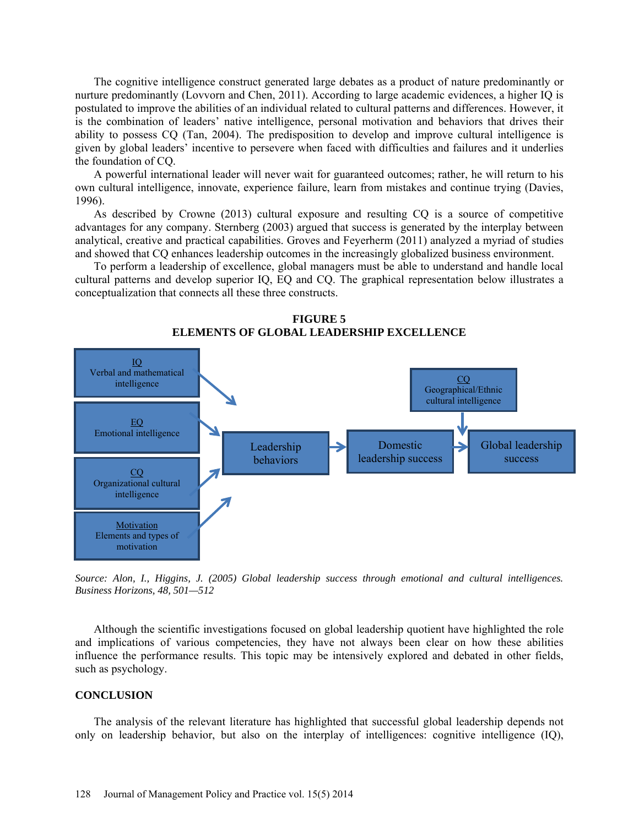The cognitive intelligence construct generated large debates as a product of nature predominantly or nurture predominantly (Lovvorn and Chen, 2011). According to large academic evidences, a higher IQ is postulated to improve the abilities of an individual related to cultural patterns and differences. However, it is the combination of leaders' native intelligence, personal motivation and behaviors that drives their ability to possess CQ (Tan, 2004). The predisposition to develop and improve cultural intelligence is given by global leaders' incentive to persevere when faced with difficulties and failures and it underlies the foundation of CQ.

A powerful international leader will never wait for guaranteed outcomes; rather, he will return to his own cultural intelligence, innovate, experience failure, learn from mistakes and continue trying (Davies, 1996).

As described by Crowne (2013) cultural exposure and resulting CQ is a source of competitive advantages for any company. Sternberg (2003) argued that success is generated by the interplay between analytical, creative and practical capabilities. Groves and Feyerherm (2011) analyzed a myriad of studies and showed that CQ enhances leadership outcomes in the increasingly globalized business environment.

To perform a leadership of excellence, global managers must be able to understand and handle local cultural patterns and develop superior IQ, EQ and CQ. The graphical representation below illustrates a conceptualization that connects all these three constructs.



**FIGURE 5 ELEMENTS OF GLOBAL LEADERSHIP EXCELLENCE**

*Source: Alon, I., Higgins, J. (2005) Global leadership success through emotional and cultural intelligences. Business Horizons, 48, 501—512*

Although the scientific investigations focused on global leadership quotient have highlighted the role and implications of various competencies, they have not always been clear on how these abilities influence the performance results. This topic may be intensively explored and debated in other fields, such as psychology.

### **CONCLUSION**

The analysis of the relevant literature has highlighted that successful global leadership depends not only on leadership behavior, but also on the interplay of intelligences: cognitive intelligence (IQ),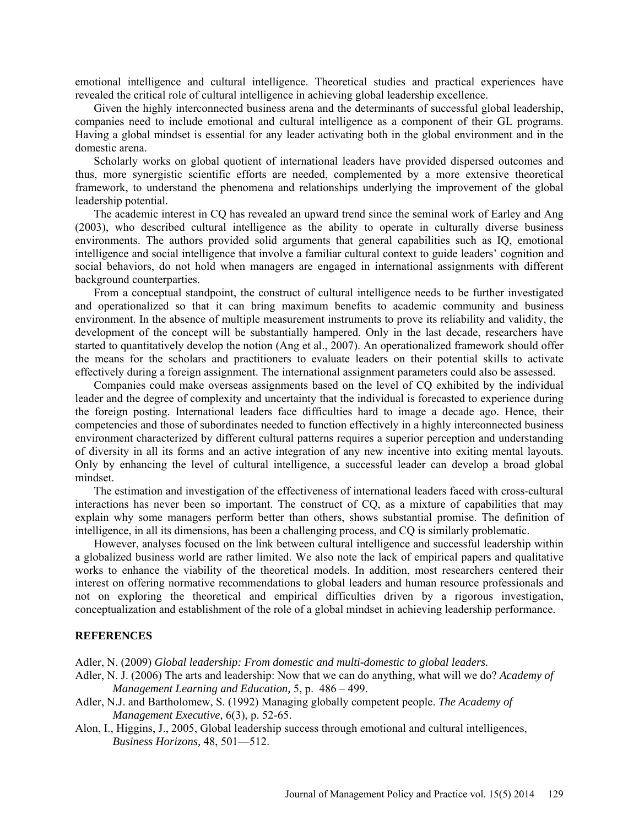emotional intelligence and cultural intelligence. Theoretical studies and practical experiences have revealed the critical role of cultural intelligence in achieving global leadership excellence.

Given the highly interconnected business arena and the determinants of successful global leadership, companies need to include emotional and cultural intelligence as a component of their GL programs. Having a global mindset is essential for any leader activating both in the global environment and in the domestic arena.

Scholarly works on global quotient of international leaders have provided dispersed outcomes and thus, more synergistic scientific efforts are needed, complemented by a more extensive theoretical framework, to understand the phenomena and relationships underlying the improvement of the global leadership potential.

The academic interest in CQ has revealed an upward trend since the seminal work of Earley and Ang (2003), who described cultural intelligence as the ability to operate in culturally diverse business environments. The authors provided solid arguments that general capabilities such as IQ, emotional intelligence and social intelligence that involve a familiar cultural context to guide leaders' cognition and social behaviors, do not hold when managers are engaged in international assignments with different background counterparties.

From a conceptual standpoint, the construct of cultural intelligence needs to be further investigated and operationalized so that it can bring maximum benefits to academic community and business environment. In the absence of multiple measurement instruments to prove its reliability and validity, the development of the concept will be substantially hampered. Only in the last decade, researchers have started to quantitatively develop the notion (Ang et al., 2007). An operationalized framework should offer the means for the scholars and practitioners to evaluate leaders on their potential skills to activate effectively during a foreign assignment. The international assignment parameters could also be assessed.

Companies could make overseas assignments based on the level of CQ exhibited by the individual leader and the degree of complexity and uncertainty that the individual is forecasted to experience during the foreign posting. International leaders face difficulties hard to image a decade ago. Hence, their competencies and those of subordinates needed to function effectively in a highly interconnected business environment characterized by different cultural patterns requires a superior perception and understanding of diversity in all its forms and an active integration of any new incentive into exiting mental layouts. Only by enhancing the level of cultural intelligence, a successful leader can develop a broad global mindset.

The estimation and investigation of the effectiveness of international leaders faced with cross-cultural interactions has never been so important. The construct of CQ, as a mixture of capabilities that may explain why some managers perform better than others, shows substantial promise. The definition of intelligence, in all its dimensions, has been a challenging process, and CQ is similarly problematic.

However, analyses focused on the link between cultural intelligence and successful leadership within a globalized business world are rather limited. We also note the lack of empirical papers and qualitative works to enhance the viability of the theoretical models. In addition, most researchers centered their interest on offering normative recommendations to global leaders and human resource professionals and not on exploring the theoretical and empirical difficulties driven by a rigorous investigation, conceptualization and establishment of the role of a global mindset in achieving leadership performance.

#### **REFERENCES**

Adler, N. (2009) *Global leadership: From domestic and multi-domestic to global leaders.*

- Adler, N. J. (2006) The arts and leadership: Now that we can do anything, what will we do? *Academy of Management Learning and Education,* 5, p. 486 – 499.
- Adler, N.J. and Bartholomew, S. (1992) Managing globally competent people. *The Academy of Management Executive,* 6(3), p. 52-65.
- Alon, I., Higgins, J., 2005, Global leadership success through emotional and cultural intelligences, *Business Horizons,* 48, 501—512.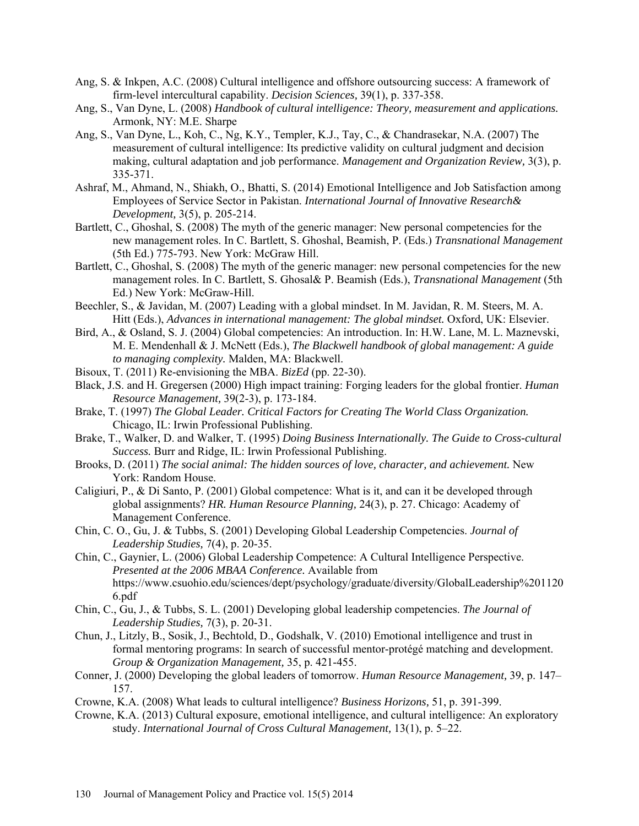- Ang, S. & Inkpen, A.C. (2008) Cultural intelligence and offshore outsourcing success: A framework of firm-level intercultural capability. *Decision Sciences,* 39(1), p. 337-358.
- Ang, S., Van Dyne, L. (2008) *Handbook of cultural intelligence: Theory, measurement and applications.* Armonk, NY: M.E. Sharpe
- Ang, S., Van Dyne, L., Koh, C., Ng, K.Y., Templer, K.J., Tay, C., & Chandrasekar, N.A. (2007) The measurement of cultural intelligence: Its predictive validity on cultural judgment and decision making, cultural adaptation and job performance. *Management and Organization Review,* 3(3), p. 335-371.
- Ashraf, M., Ahmand, N., Shiakh, O., Bhatti, S. (2014) Emotional Intelligence and Job Satisfaction among Employees of Service Sector in Pakistan. *International Journal of Innovative Research& Development,* 3(5), p. 205-214.
- Bartlett, C., Ghoshal, S. (2008) The myth of the generic manager: New personal competencies for the new management roles. In C. Bartlett, S. Ghoshal, Beamish, P. (Eds.) *Transnational Management* (5th Ed.) 775-793. New York: McGraw Hill.
- Bartlett, C., Ghoshal, S. (2008) The myth of the generic manager: new personal competencies for the new management roles. In C. Bartlett, S. Ghosal& P. Beamish (Eds.), *Transnational Management* (5th Ed.) New York: McGraw-Hill.
- Beechler, S., & Javidan, M. (2007) Leading with a global mindset. In M. Javidan, R. M. Steers, M. A. Hitt (Eds.), *Advances in international management: The global mindset.* Oxford, UK: Elsevier.
- Bird, A., & Osland, S. J. (2004) Global competencies: An introduction. In: H.W. Lane, M. L. Maznevski, M. E. Mendenhall & J. McNett (Eds.), *The Blackwell handbook of global management: A guide to managing complexity.* Malden, MA: Blackwell.
- Bisoux, T. (2011) Re-envisioning the MBA. *BizEd* (pp. 22-30).
- Black, J.S. and H. Gregersen (2000) High impact training: Forging leaders for the global frontier. *Human Resource Management,* 39(2-3), p. 173-184.
- Brake, T. (1997) *The Global Leader. Critical Factors for Creating The World Class Organization.* Chicago, IL: Irwin Professional Publishing.
- Brake, T., Walker, D. and Walker, T. (1995) *Doing Business Internationally. The Guide to Cross-cultural Success.* Burr and Ridge, IL: Irwin Professional Publishing.
- Brooks, D. (2011) *The social animal: The hidden sources of love, character, and achievement.* New York: Random House.
- Caligiuri, P., & Di Santo, P. (2001) Global competence: What is it, and can it be developed through global assignments? *HR. Human Resource Planning,* 24(3), p. 27. Chicago: Academy of Management Conference.
- Chin, C. O., Gu, J. & Tubbs, S. (2001) Developing Global Leadership Competencies. *Journal of Leadership Studies,* 7(4), p. 20-35.
- Chin, C., Gaynier, L. (2006) Global Leadership Competence: A Cultural Intelligence Perspective. *Presented at the 2006 MBAA Conference.* Available from https://www.csuohio.edu/sciences/dept/psychology/graduate/diversity/GlobalLeadership%201120 6.pdf
- Chin, C., Gu, J., & Tubbs, S. L. (2001) Developing global leadership competencies. *The Journal of Leadership Studies,* 7(3), p. 20-31.
- Chun, J., Litzly, B., Sosik, J., Bechtold, D., Godshalk, V. (2010) Emotional intelligence and trust in formal mentoring programs: In search of successful mentor-protégé matching and development. *Group & Organization Management,* 35, p. 421-455.
- Conner, J. (2000) Developing the global leaders of tomorrow. *Human Resource Management,* 39, p. 147– 157.
- Crowne, K.A. (2008) What leads to cultural intelligence? *Business Horizons,* 51, p. 391-399.
- Crowne, K.A. (2013) Cultural exposure, emotional intelligence, and cultural intelligence: An exploratory study. *International Journal of Cross Cultural Management,* 13(1), p. 5–22.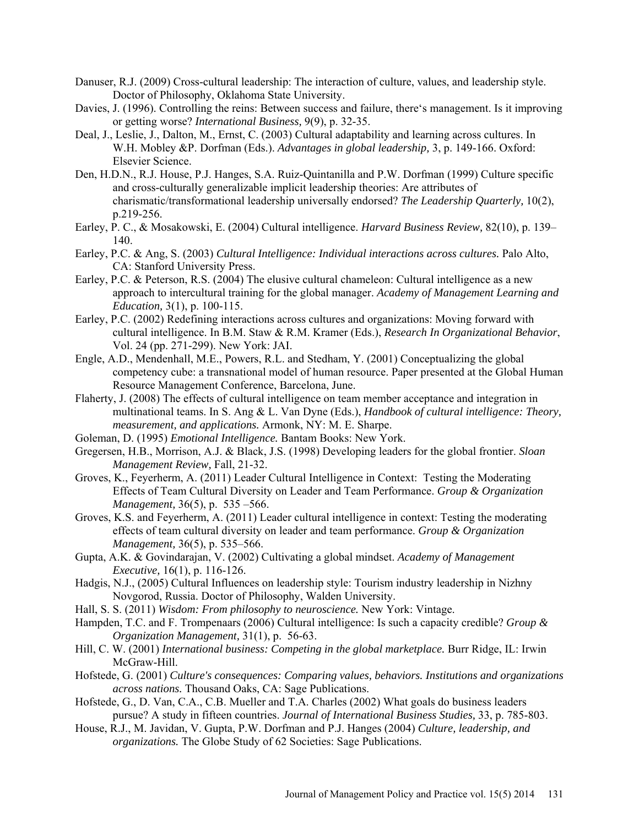- Danuser, R.J. (2009) Cross-cultural leadership: The interaction of culture, values, and leadership style. Doctor of Philosophy, Oklahoma State University.
- Davies, J. (1996). Controlling the reins: Between success and failure, there's management. Is it improving or getting worse? *International Business,* 9(9), p. 32-35.
- Deal, J., Leslie, J., Dalton, M., Ernst, C. (2003) Cultural adaptability and learning across cultures. In W.H. Mobley &P. Dorfman (Eds.). *Advantages in global leadership,* 3, p. 149-166. Oxford: Elsevier Science.
- Den, H.D.N., R.J. House, P.J. Hanges, S.A. Ruiz-Quintanilla and P.W. Dorfman (1999) Culture specific and cross-culturally generalizable implicit leadership theories: Are attributes of charismatic/transformational leadership universally endorsed? *The Leadership Quarterly,* 10(2), p.219-256.
- Earley, P. C., & Mosakowski, E. (2004) Cultural intelligence. *Harvard Business Review,* 82(10), p. 139– 140.
- Earley, P.C. & Ang, S. (2003) *Cultural Intelligence: Individual interactions across cultures.* Palo Alto, CA: Stanford University Press.
- Earley, P.C. & Peterson, R.S. (2004) The elusive cultural chameleon: Cultural intelligence as a new approach to intercultural training for the global manager. *Academy of Management Learning and Education,* 3(1), p. 100-115.
- Earley, P.C. (2002) Redefining interactions across cultures and organizations: Moving forward with cultural intelligence. In B.M. Staw & R.M. Kramer (Eds.), *Research In Organizational Behavior*, Vol. 24 (pp. 271-299). New York: JAI.
- Engle, A.D., Mendenhall, M.E., Powers, R.L. and Stedham, Y. (2001) Conceptualizing the global competency cube: a transnational model of human resource. Paper presented at the Global Human Resource Management Conference, Barcelona, June.
- Flaherty, J. (2008) The effects of cultural intelligence on team member acceptance and integration in multinational teams. In S. Ang & L. Van Dyne (Eds.), *Handbook of cultural intelligence: Theory, measurement, and applications.* Armonk, NY: M. E. Sharpe.
- Goleman, D. (1995) *Emotional Intelligence.* Bantam Books: New York.
- Gregersen, H.B., Morrison, A.J. & Black, J.S. (1998) Developing leaders for the global frontier. *Sloan Management Review,* Fall, 21-32.
- Groves, K., Feyerherm, A. (2011) Leader Cultural Intelligence in Context: Testing the Moderating Effects of Team Cultural Diversity on Leader and Team Performance. *Group & Organization Management,* 36(5), p. 535 –566.
- Groves, K.S. and Feyerherm, A. (2011) Leader cultural intelligence in context: Testing the moderating effects of team cultural diversity on leader and team performance. *Group & Organization Management,* 36(5), p. 535–566.
- Gupta, A.K. & Govindarajan, V. (2002) Cultivating a global mindset. *Academy of Management Executive,* 16(1), p. 116-126.
- Hadgis, N.J., (2005) Cultural Influences on leadership style: Tourism industry leadership in Nizhny Novgorod, Russia. Doctor of Philosophy, Walden University.
- Hall, S. S. (2011) *Wisdom: From philosophy to neuroscience.* New York: Vintage.
- Hampden, T.C. and F. Trompenaars (2006) Cultural intelligence: Is such a capacity credible? *Group & Organization Management,* 31(1), p. 56-63.
- Hill, C. W. (2001) *International business: Competing in the global marketplace.* Burr Ridge, IL: Irwin McGraw-Hill.
- Hofstede, G. (2001) *Culture's consequences: Comparing values, behaviors. Institutions and organizations across nations.* Thousand Oaks, CA: Sage Publications.
- Hofstede, G., D. Van, C.A., C.B. Mueller and T.A. Charles (2002) What goals do business leaders pursue? A study in fifteen countries. *Journal of International Business Studies,* 33, p. 785-803.
- House, R.J., M. Javidan, V. Gupta, P.W. Dorfman and P.J. Hanges (2004) *Culture, leadership, and organizations.* The Globe Study of 62 Societies: Sage Publications.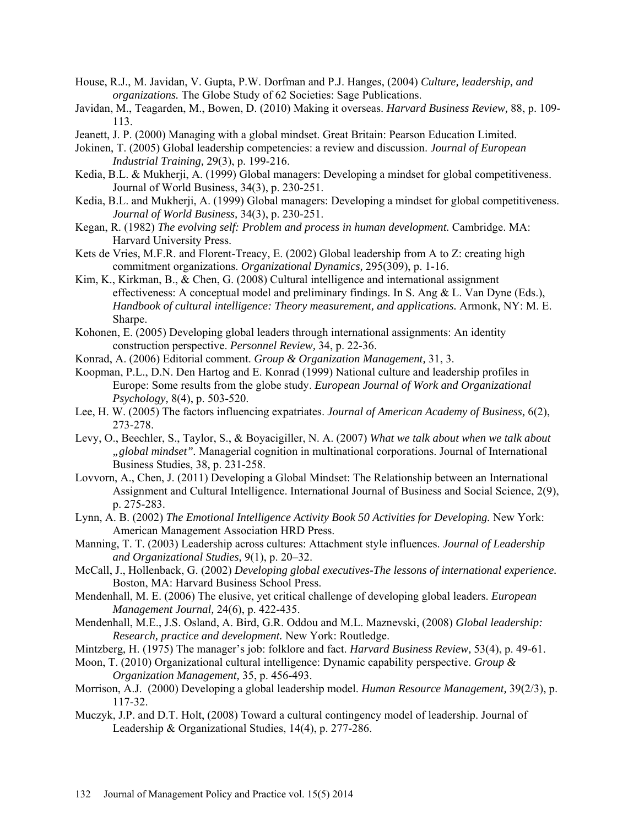- House, R.J., M. Javidan, V. Gupta, P.W. Dorfman and P.J. Hanges, (2004) *Culture, leadership, and organizations.* The Globe Study of 62 Societies: Sage Publications.
- Javidan, M., Teagarden, M., Bowen, D. (2010) Making it overseas. *Harvard Business Review,* 88, p. 109- 113.
- Jeanett, J. P. (2000) Managing with a global mindset. Great Britain: Pearson Education Limited.
- Jokinen, T. (2005) Global leadership competencies: a review and discussion. *Journal of European Industrial Training,* 29(3), p. 199-216.
- Kedia, B.L. & Mukherji, A. (1999) Global managers: Developing a mindset for global competitiveness. Journal of World Business, 34(3), p. 230-251.
- Kedia, B.L. and Mukherji, A. (1999) Global managers: Developing a mindset for global competitiveness. *Journal of World Business,* 34(3), p. 230-251.
- Kegan, R. (1982) *The evolving self: Problem and process in human development.* Cambridge. MA: Harvard University Press.
- Kets de Vries, M.F.R. and Florent-Treacy, E. (2002) Global leadership from A to Z: creating high commitment organizations. *Organizational Dynamics,* 295(309), p. 1-16.
- Kim, K., Kirkman, B., & Chen, G. (2008) Cultural intelligence and international assignment effectiveness: A conceptual model and preliminary findings. In S. Ang & L. Van Dyne (Eds.), *Handbook of cultural intelligence: Theory measurement, and applications.* Armonk, NY: M. E. Sharpe.
- Kohonen, E. (2005) Developing global leaders through international assignments: An identity construction perspective. *Personnel Review,* 34, p. 22-36.
- Konrad, A. (2006) Editorial comment. *Group & Organization Management,* 31, 3.
- Koopman, P.L., D.N. Den Hartog and E. Konrad (1999) National culture and leadership profiles in Europe: Some results from the globe study. *European Journal of Work and Organizational Psychology,* 8(4), p. 503-520.
- Lee, H. W. (2005) The factors influencing expatriates. *Journal of American Academy of Business,* 6(2), 273-278.
- Levy, O., Beechler, S., Taylor, S., & Boyacigiller, N. A. (2007) *What we talk about when we talk about "global mindset".* Managerial cognition in multinational corporations. Journal of International Business Studies, 38, p. 231-258.
- Lovvorn, A., Chen, J. (2011) Developing a Global Mindset: The Relationship between an International Assignment and Cultural Intelligence. International Journal of Business and Social Science, 2(9), p. 275-283.
- Lynn, A. B. (2002) *The Emotional Intelligence Activity Book 50 Activities for Developing.* New York: American Management Association HRD Press.
- Manning, T. T. (2003) Leadership across cultures: Attachment style influences. *Journal of Leadership and Organizational Studies,* 9(1), p. 20–32.
- McCall, J., Hollenback, G. (2002) *Developing global executives-The lessons of international experience.* Boston, MA: Harvard Business School Press.
- Mendenhall, M. E. (2006) The elusive, yet critical challenge of developing global leaders. *European Management Journal,* 24(6), p. 422-435.
- Mendenhall, M.E., J.S. Osland, A. Bird, G.R. Oddou and M.L. Maznevski, (2008) *Global leadership: Research, practice and development.* New York: Routledge.
- Mintzberg, H. (1975) The manager's job: folklore and fact. *Harvard Business Review,* 53(4), p. 49-61.
- Moon, T. (2010) Organizational cultural intelligence: Dynamic capability perspective. *Group & Organization Management,* 35, p. 456-493.
- Morrison, A.J. (2000) Developing a global leadership model. *Human Resource Management,* 39(2/3), p. 117-32.
- Muczyk, J.P. and D.T. Holt, (2008) Toward a cultural contingency model of leadership. Journal of Leadership & Organizational Studies, 14(4), p. 277-286.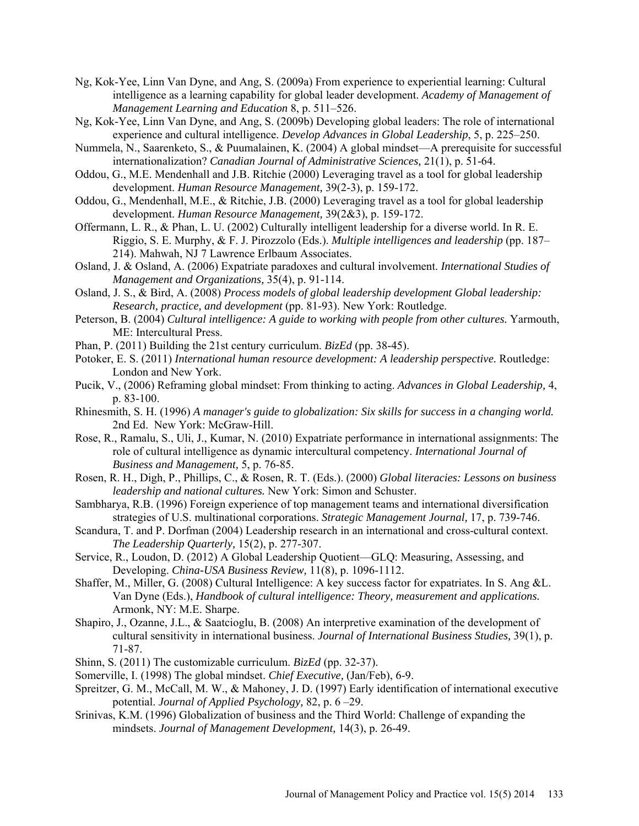- Ng, Kok-Yee, Linn Van Dyne, and Ang, S. (2009a) From experience to experiential learning: Cultural intelligence as a learning capability for global leader development. *Academy of Management of Management Learning and Education* 8, p. 511–526.
- Ng, Kok-Yee, Linn Van Dyne, and Ang, S. (2009b) Developing global leaders: The role of international experience and cultural intelligence. *Develop Advances in Global Leadership*, 5, p. 225–250.
- Nummela, N., Saarenketo, S., & Puumalainen, K. (2004) A global mindset—A prerequisite for successful internationalization? *Canadian Journal of Administrative Sciences,* 21(1), p. 51-64.
- Oddou, G., M.E. Mendenhall and J.B. Ritchie (2000) Leveraging travel as a tool for global leadership development. *Human Resource Management,* 39(2-3), p. 159-172.
- Oddou, G., Mendenhall, M.E., & Ritchie, J.B. (2000) Leveraging travel as a tool for global leadership development. *Human Resource Management,* 39(2&3), p. 159-172.
- Offermann, L. R., & Phan, L. U. (2002) Culturally intelligent leadership for a diverse world. In R. E. Riggio, S. E. Murphy, & F. J. Pirozzolo (Eds.). *Multiple intelligences and leadership* (pp. 187– 214). Mahwah, NJ 7 Lawrence Erlbaum Associates.
- Osland, J. & Osland, A. (2006) Expatriate paradoxes and cultural involvement. *International Studies of Management and Organizations,* 35(4), p. 91-114.
- Osland, J. S., & Bird, A. (2008) *Process models of global leadership development Global leadership: Research, practice, and development* (pp. 81-93). New York: Routledge.
- Peterson, B. (2004) *Cultural intelligence: A guide to working with people from other cultures.* Yarmouth, ME: Intercultural Press.
- Phan, P. (2011) Building the 21st century curriculum. *BizEd* (pp. 38-45).
- Potoker, E. S. (2011) *International human resource development: A leadership perspective.* Routledge: London and New York.
- Pucik, V., (2006) Reframing global mindset: From thinking to acting. *Advances in Global Leadership,* 4, p. 83-100.
- Rhinesmith, S. H. (1996) *A manager's guide to globalization: Six skills for success in a changing world.* 2nd Ed. New York: McGraw-Hill.
- Rose, R., Ramalu, S., Uli, J., Kumar, N. (2010) Expatriate performance in international assignments: The role of cultural intelligence as dynamic intercultural competency. *International Journal of Business and Management,* 5, p. 76-85.
- Rosen, R. H., Digh, P., Phillips, C., & Rosen, R. T. (Eds.). (2000) *Global literacies: Lessons on business leadership and national cultures.* New York: Simon and Schuster.
- Sambharya, R.B. (1996) Foreign experience of top management teams and international diversification strategies of U.S. multinational corporations. *Strategic Management Journal,* 17, p. 739-746.
- Scandura, T. and P. Dorfman (2004) Leadership research in an international and cross-cultural context. *The Leadership Quarterly,* 15(2), p. 277-307.
- Service, R., Loudon, D. (2012) A Global Leadership Quotient—GLQ: Measuring, Assessing, and Developing. *China-USA Business Review,* 11(8), p. 1096-1112.
- Shaffer, M., Miller, G. (2008) Cultural Intelligence: A key success factor for expatriates. In S. Ang &L. Van Dyne (Eds.), *Handbook of cultural intelligence: Theory, measurement and applications.* Armonk, NY: M.E. Sharpe.
- Shapiro, J., Ozanne, J.L., & Saatcioglu, B. (2008) An interpretive examination of the development of cultural sensitivity in international business. *Journal of International Business Studies,* 39(1), p. 71-87.
- Shinn, S. (2011) The customizable curriculum. *BizEd* (pp. 32-37).
- Somerville, I. (1998) The global mindset. *Chief Executive,* (Jan/Feb), 6-9.
- Spreitzer, G. M., McCall, M. W., & Mahoney, J. D. (1997) Early identification of international executive potential. *Journal of Applied Psychology,* 82, p. 6 –29.
- Srinivas, K.M. (1996) Globalization of business and the Third World: Challenge of expanding the mindsets. *Journal of Management Development,* 14(3), p. 26-49.